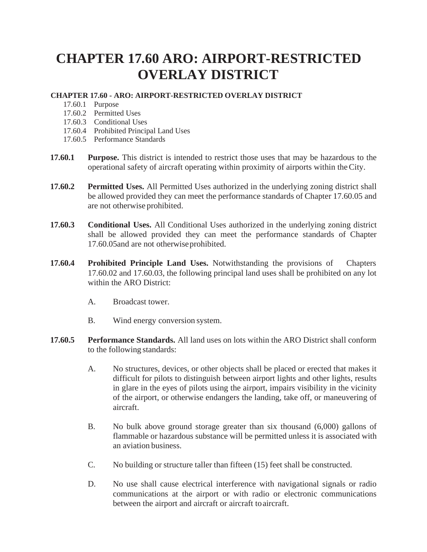## **CHAPTER 17.60 ARO: AIRPORT-RESTRICTED OVERLAY DISTRICT**

## **CHAPTER 17.60 - ARO: AIRPORT-RESTRICTED OVERLAY DISTRICT**

- 17.60.1 Purpose
- 17.60.2 Permitted Uses
- 17.60.3 Conditional Uses
- 17.60.4 Prohibited Principal Land Uses
- 17.60.5 Performance Standards
- **17.60.1 Purpose.** This district is intended to restrict those uses that may be hazardous to the operational safety of aircraft operating within proximity of airports within theCity.
- **17.60.2 Permitted Uses.** All Permitted Uses authorized in the underlying zoning district shall be allowed provided they can meet the performance standards of Chapter 17.60.05 and are not otherwise prohibited.
- **17.60.3 Conditional Uses.** All Conditional Uses authorized in the underlying zoning district shall be allowed provided they can meet the performance standards of Chapter 17.60.05and are not otherwiseprohibited.
- **17.60.4 Prohibited Principle Land Uses.** Notwithstanding the provisions of Chapters 17.60.02 and 17.60.03, the following principal land uses shall be prohibited on any lot within the ARO District:
	- A. Broadcast tower.
	- B. Wind energy conversion system.
- **17.60.5 Performance Standards.** All land uses on lots within the ARO District shall conform to the following standards:
	- A. No structures, devices, or other objects shall be placed or erected that makes it difficult for pilots to distinguish between airport lights and other lights, results in glare in the eyes of pilots using the airport, impairs visibility in the vicinity of the airport, or otherwise endangers the landing, take off, or maneuvering of aircraft.
	- B. No bulk above ground storage greater than six thousand (6,000) gallons of flammable or hazardous substance will be permitted unless it is associated with an aviation business.
	- C. No building or structure taller than fifteen (15) feet shall be constructed.
	- D. No use shall cause electrical interference with navigational signals or radio communications at the airport or with radio or electronic communications between the airport and aircraft or aircraft to aircraft.